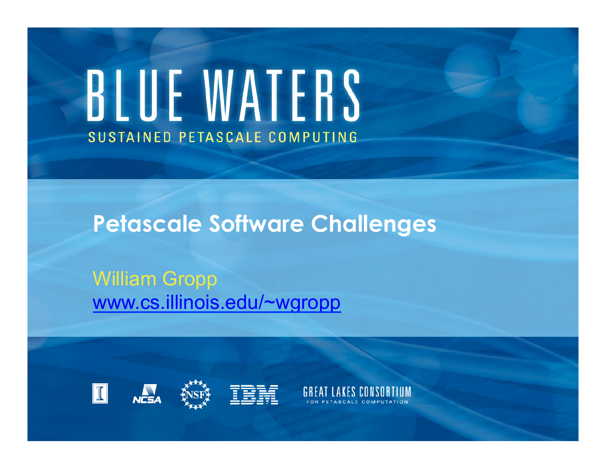# BLUE WATERS SUSTAINED PETASCALE COMPUTING

**Petascale Software Challenges** 

William Gropp www.cs.illinois.edu/~wgropp







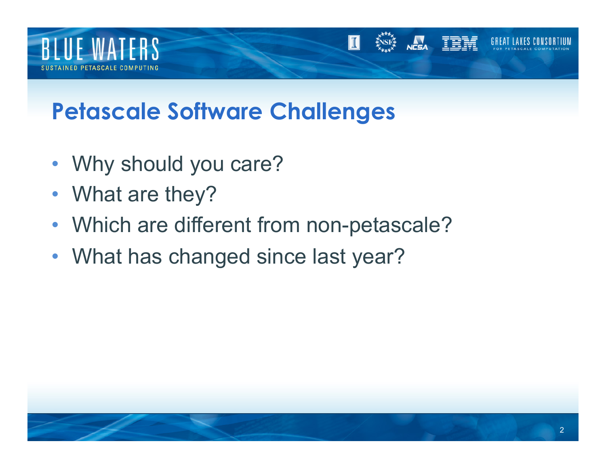

#### **Petascale Software Challenges**

- Why should you care?
- What are they?
- Which are different from non-petascale?
- What has changed since last year?

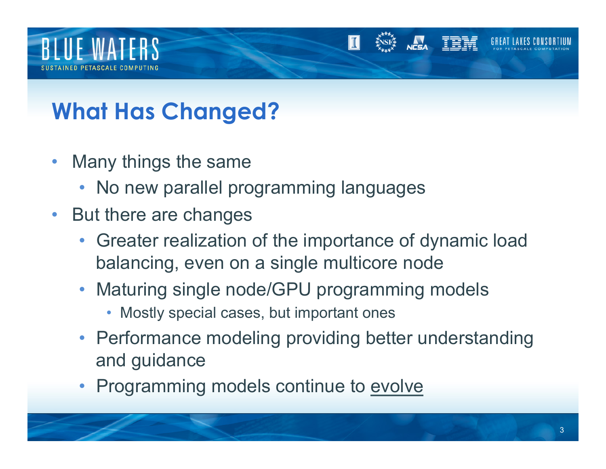

### **What Has Changed?**

- Many things the same
	- No new parallel programming languages
- But there are changes
	- Greater realization of the importance of dynamic load balancing, even on a single multicore node
	- Maturing single node/GPU programming models
		- Mostly special cases, but important ones
	- Performance modeling providing better understanding and guidance
	- Programming models continue to evolve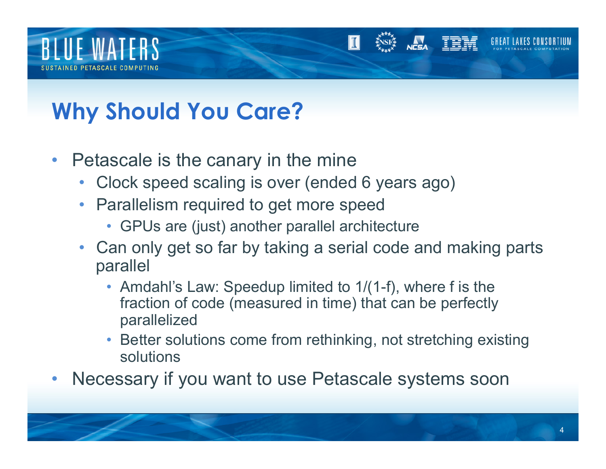

### **Why Should You Care?**

- Petascale is the canary in the mine
	- Clock speed scaling is over (ended 6 years ago)
	- Parallelism required to get more speed
		- GPUs are (just) another parallel architecture
	- Can only get so far by taking a serial code and making parts parallel
		- Amdahl's Law: Speedup limited to 1/(1-f), where f is the fraction of code (measured in time) that can be perfectly parallelized
		- Better solutions come from rethinking, not stretching existing solutions
- Necessary if you want to use Petascale systems soon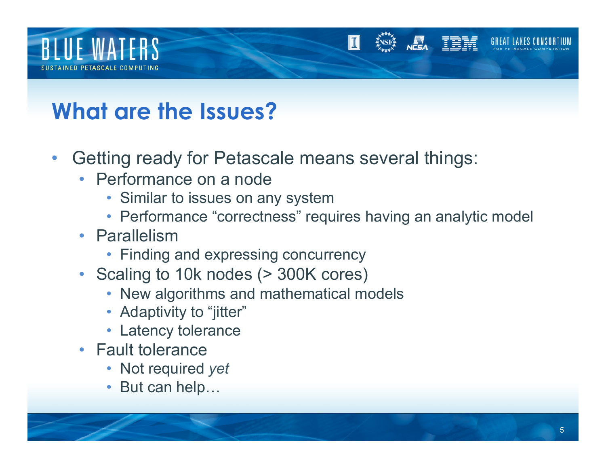

#### **What are the Issues?**

- Getting ready for Petascale means several things:
	- Performance on a node
		- Similar to issues on any system
		- Performance "correctness" requires having an analytic model
	- Parallelism
		- Finding and expressing concurrency
	- Scaling to 10k nodes (> 300K cores)
		- New algorithms and mathematical models
		- Adaptivity to "jitter"
		- Latency tolerance
	- Fault tolerance
		- Not required *yet*
		- But can help…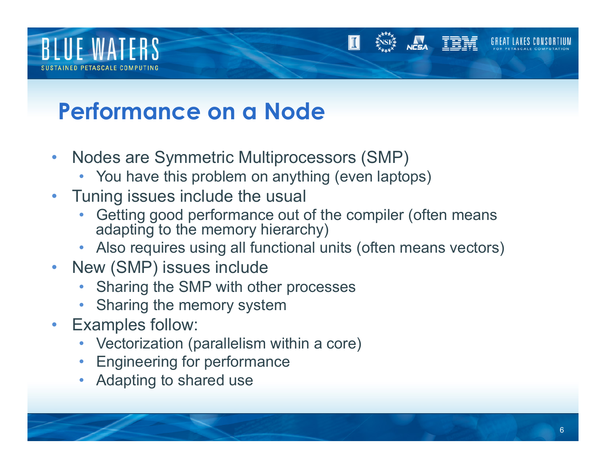

#### **Performance on a Node**

- Nodes are Symmetric Multiprocessors (SMP)
	- You have this problem on anything (even laptops)
- Tuning issues include the usual
	- Getting good performance out of the compiler (often means adapting to the memory hierarchy)
	- Also requires using all functional units (often means vectors)
- New (SMP) issues include
	- Sharing the SMP with other processes
	- Sharing the memory system
- Examples follow:
	- Vectorization (parallelism within a core)
	- Engineering for performance
	- Adapting to shared use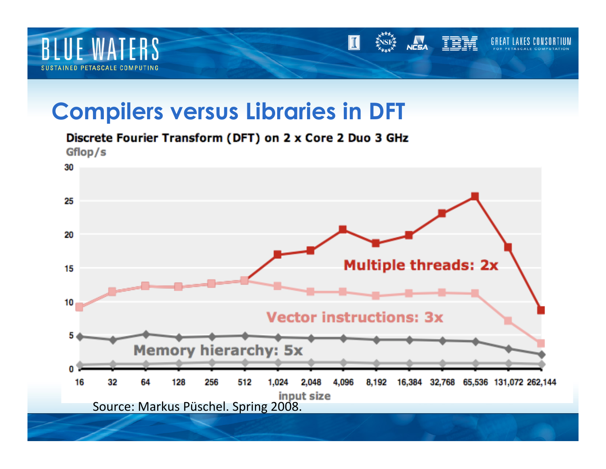

#### **Compilers versus Libraries in DFT**

Gflop/s 30 25 20 **Multiple threads: 2x** 15 10 **Vector instructions: 3x** 5 **Memory hierarchy: 5x** 0 2,048 4,096 16 32 64 128 256 512 1,024 8,192 16,384 32,768 65,536 131,072 262,144 **Source: Markus Püschel. Spring 2008.**<br>Source: Markus Püschel. Spring 2008.

 $\mathbf{T}$ 

**NESA** 

TEM

GREA

#### Discrete Fourier Transform (DFT) on 2 x Core 2 Duo 3 GHz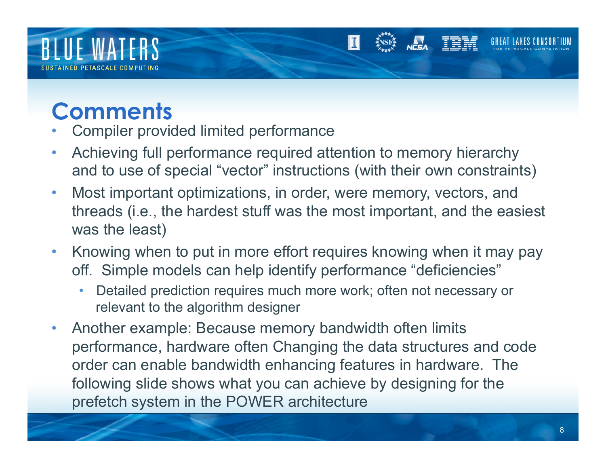

#### **Comments**

- Compiler provided limited performance
- Achieving full performance required attention to memory hierarchy and to use of special "vector" instructions (with their own constraints)
- Most important optimizations, in order, were memory, vectors, and threads (i.e., the hardest stuff was the most important, and the easiest was the least)
- Knowing when to put in more effort requires knowing when it may pay off. Simple models can help identify performance "deficiencies"
	- Detailed prediction requires much more work; often not necessary or relevant to the algorithm designer
- Another example: Because memory bandwidth often limits performance, hardware often Changing the data structures and code order can enable bandwidth enhancing features in hardware. The following slide shows what you can achieve by designing for the prefetch system in the POWER architecture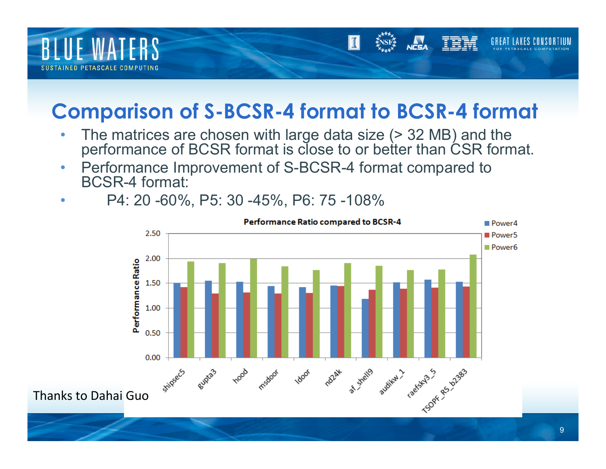

#### **Comparison of S-BCSR-4 format to BCSR-4 format**

- The matrices are chosen with large data size (> 32 MB) and the performance of BCSR format is close to or better than CSR format.
- Performance Improvement of S-BCSR-4 format compared to BCSR-4 format:
- P4: 20 -60%, P5: 30 -45%, P6: 75 -108%

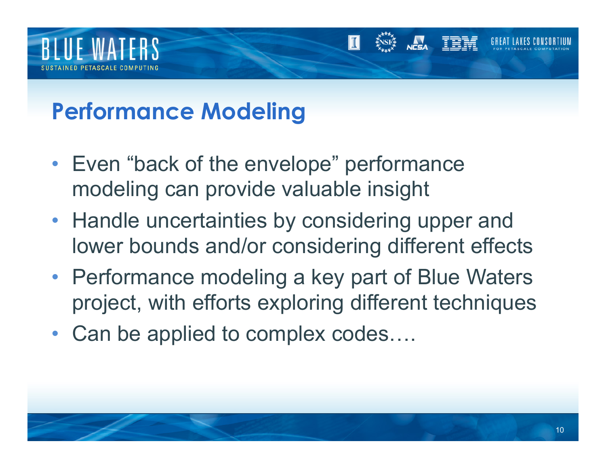

#### **Performance Modeling**

- Even "back of the envelope" performance modeling can provide valuable insight
- Handle uncertainties by considering upper and lower bounds and/or considering different effects
- Performance modeling a key part of Blue Waters project, with efforts exploring different techniques
- Can be applied to complex codes....

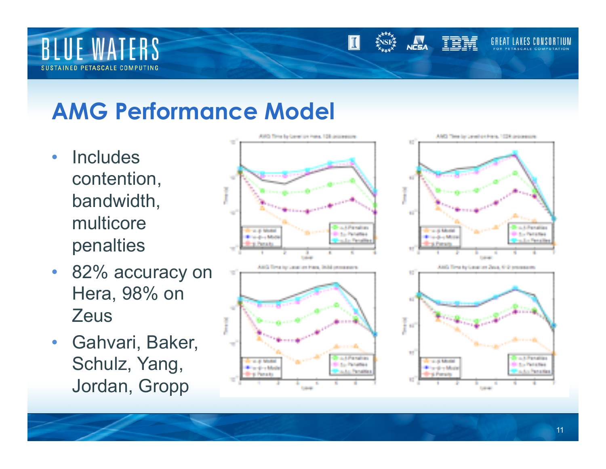

#### **AMG Performance Model**

- Includes contention, bandwidth, multicore penalties
- 82% accuracy on Hera, 98% on **Zeus**
- Gahvari, Baker, Schulz, Yang, Jordan, Gropp





**NCSA** 

TRM

II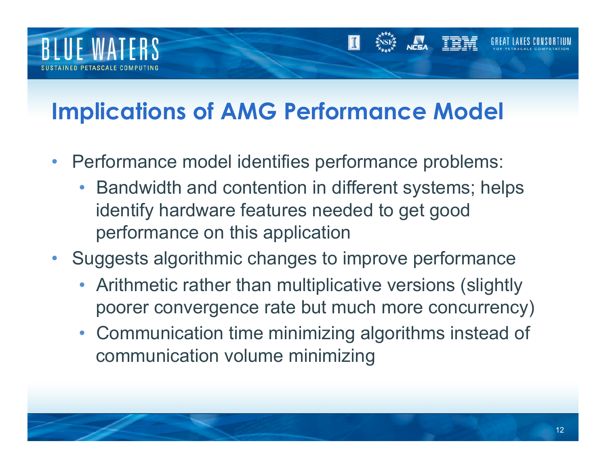

#### **Implications of AMG Performance Model**

- Performance model identifies performance problems:
	- Bandwidth and contention in different systems; helps identify hardware features needed to get good performance on this application
- Suggests algorithmic changes to improve performance
	- Arithmetic rather than multiplicative versions (slightly poorer convergence rate but much more concurrency)
	- Communication time minimizing algorithms instead of communication volume minimizing

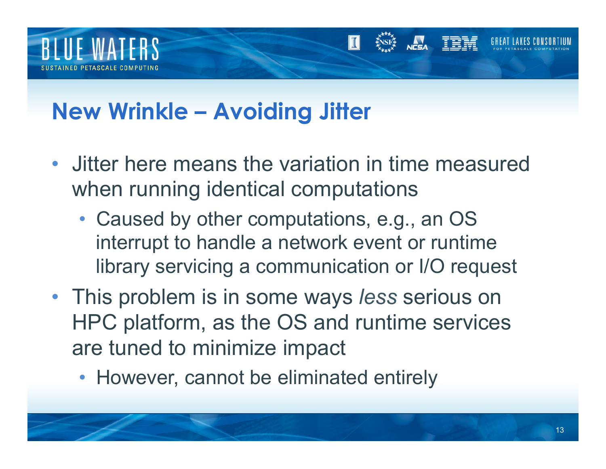

#### **New Wrinkle – Avoiding Jitter**

- Jitter here means the variation in time measured when running identical computations
	- Caused by other computations, e.g., an OS interrupt to handle a network event or runtime library servicing a communication or I/O request
- This problem is in some ways *less* serious on HPC platform, as the OS and runtime services are tuned to minimize impact
	- However, cannot be eliminated entirely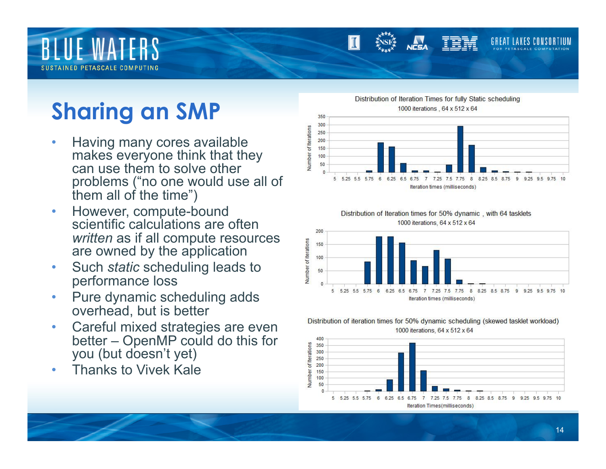# **BLUE WATERS**

## **Sharing an SMP**

- Having many cores available makes everyone think that they can use them to solve other problems ("no one would use all of them all of the time")
- However, compute-bound scientific calculations are often *written* as if all compute resources are owned by the application
- Such *static* scheduling leads to performance loss
- Pure dynamic scheduling adds overhead, but is better
- Careful mixed strategies are even better – OpenMP could do this for you (but doesn't yet)
- Thanks to Vivek Kale



#### Distribution of Iteration times for 50% dynamic, with 64 tasklets 1000 iterations, 64 x 512 x 64



#### Distribution of iteration times for 50% dynamic scheduling (skewed tasklet workload) 1000 iterations, 64 x 512 x 64

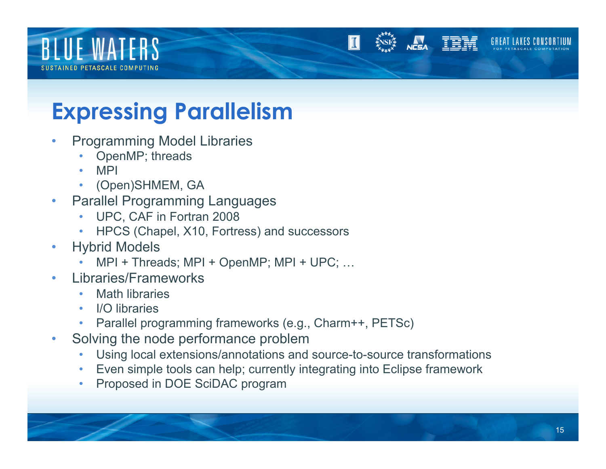# **BLUE WATERS**

#### **Expressing Parallelism**

- Programming Model Libraries
	- OpenMP; threads
	- MPI
	- (Open)SHMEM, GA
- Parallel Programming Languages
	- UPC, CAF in Fortran 2008
	- HPCS (Chapel, X10, Fortress) and successors
- Hybrid Models
	- MPI + Threads; MPI + OpenMP; MPI + UPC; …
- Libraries/Frameworks
	- Math libraries
	- I/O libraries
	- Parallel programming frameworks (e.g., Charm++, PETSc)
- Solving the node performance problem
	- Using local extensions/annotations and source-to-source transformations
	- Even simple tools can help; currently integrating into Eclipse framework
	- Proposed in DOE SciDAC program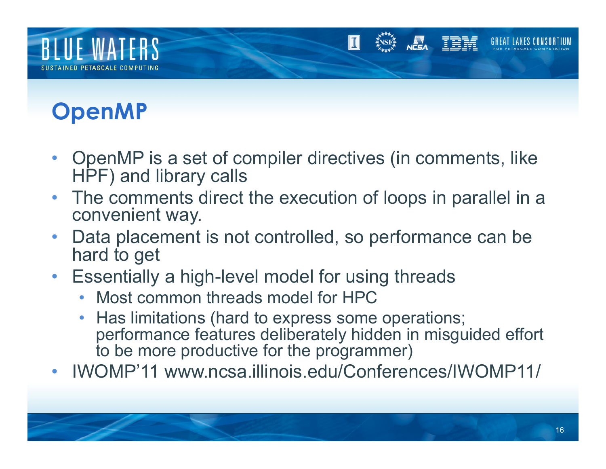

## **OpenMP**

- OpenMP is a set of compiler directives (in comments, like HPF) and library calls
- The comments direct the execution of loops in parallel in a convenient way.
- Data placement is not controlled, so performance can be hard to get
- Essentially a high-level model for using threads
	- Most common threads model for HPC
	- Has limitations (hard to express some operations; performance features deliberately hidden in misguided effort to be more productive for the programmer)
- IWOMP'11 www.ncsa.illinois.edu/Conferences/IWOMP11/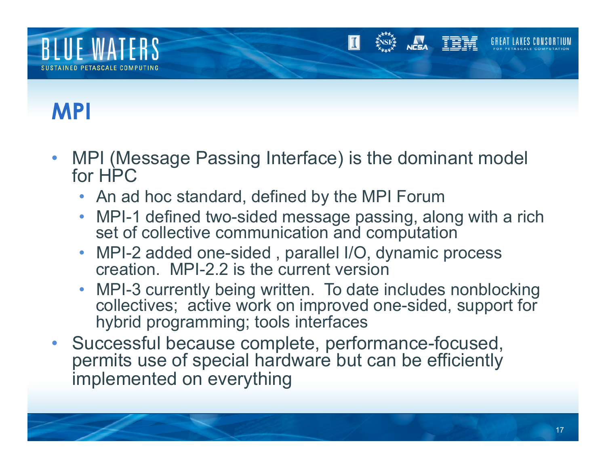

#### **MPI**

- MPI (Message Passing Interface) is the dominant model for HPC
	- An ad hoc standard, defined by the MPI Forum
	- MPI-1 defined two-sided message passing, along with a rich set of collective communication and computation
	- MPI-2 added one-sided, parallel I/O, dynamic process creation. MPI-2.2 is the current version
	- MPI-3 currently being written. To date includes nonblocking collectives; active work on improved one-sided, support for hybrid programming; tools interfaces
- Successful because complete, performance-focused, permits use of special hardware but can be efficiently implemented on everything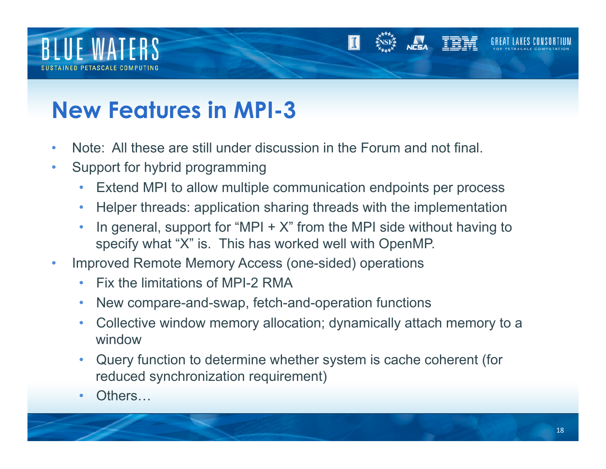

### **New Features in MPI-3**

- Note: All these are still under discussion in the Forum and not final.
- Support for hybrid programming
	- Extend MPI to allow multiple communication endpoints per process
	- Helper threads: application sharing threads with the implementation
	- In general, support for "MPI  $+ X$ " from the MPI side without having to specify what "X" is. This has worked well with OpenMP.
- Improved Remote Memory Access (one-sided) operations
	- Fix the limitations of MPI-2 RMA
	- New compare-and-swap, fetch-and-operation functions
	- Collective window memory allocation; dynamically attach memory to a window
	- Query function to determine whether system is cache coherent (for reduced synchronization requirement)
	- Others...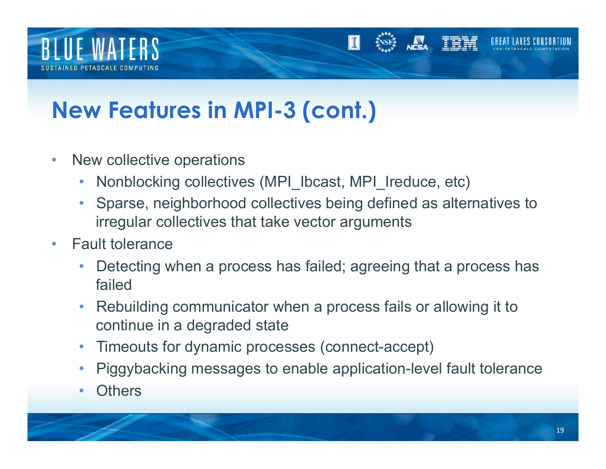

#### **New Features in MPI-3 (cont.)**

- New collective operations
	- Nonblocking collectives (MPI\_Ibcast, MPI\_Ireduce, etc)
	- Sparse, neighborhood collectives being defined as alternatives to irregular collectives that take vector arguments
- Fault tolerance
	- Detecting when a process has failed; agreeing that a process has failed
	- Rebuilding communicator when a process fails or allowing it to continue in a degraded state
	- Timeouts for dynamic processes (connect-accept)
	- Piggybacking messages to enable application-level fault tolerance
	- **Others**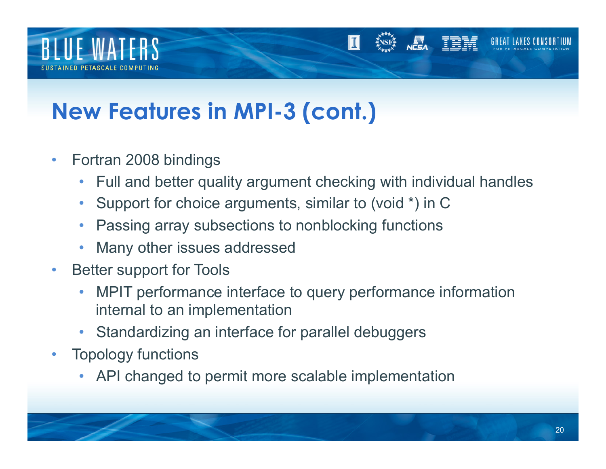

### **New Features in MPI-3 (cont.)**

- Fortran 2008 bindings
	- Full and better quality argument checking with individual handles
	- Support for choice arguments, similar to (void \*) in C
	- Passing array subsections to nonblocking functions
	- Many other issues addressed
- Better support for Tools
	- MPIT performance interface to query performance information internal to an implementation
	- Standardizing an interface for parallel debuggers
- Topology functions
	- API changed to permit more scalable implementation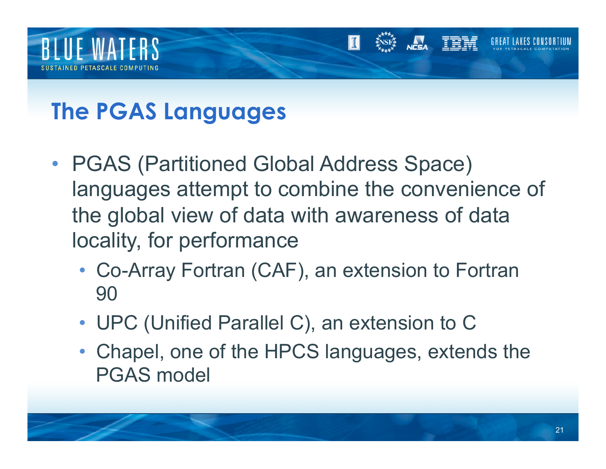

### **The PGAS Languages**

- PGAS (Partitioned Global Address Space) languages attempt to combine the convenience of the global view of data with awareness of data locality, for performance
	- Co-Array Fortran (CAF), an extension to Fortran 90
	- UPC (Unified Parallel C), an extension to C
	- Chapel, one of the HPCS languages, extends the PGAS model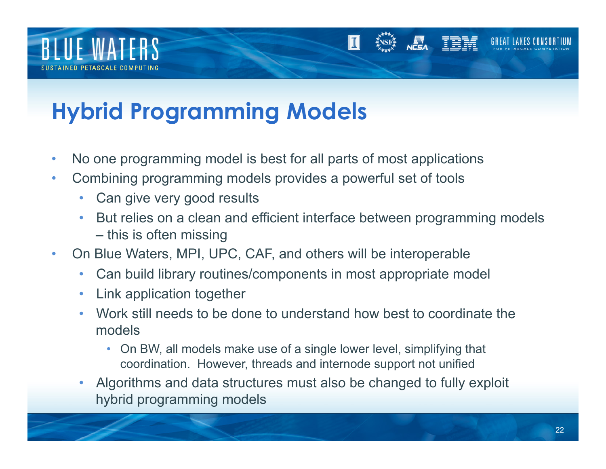

## **Hybrid Programming Models**

- No one programming model is best for all parts of most applications
- Combining programming models provides a powerful set of tools
	- Can give very good results
	- But relies on a clean and efficient interface between programming models – this is often missing
- On Blue Waters, MPI, UPC, CAF, and others will be interoperable
	- Can build library routines/components in most appropriate model
	- Link application together
	- Work still needs to be done to understand how best to coordinate the models
		- On BW, all models make use of a single lower level, simplifying that coordination. However, threads and internode support not unified
	- Algorithms and data structures must also be changed to fully exploit hybrid programming models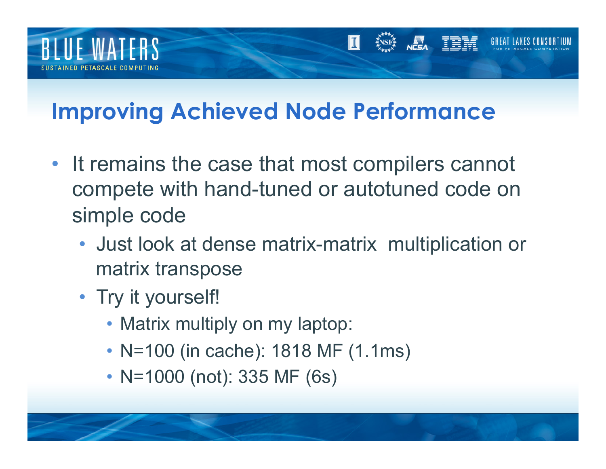

#### **Improving Achieved Node Performance**

- It remains the case that most compilers cannot compete with hand-tuned or autotuned code on simple code
	- Just look at dense matrix-matrix multiplication or matrix transpose
	- Try it yourself!
		- Matrix multiply on my laptop:
		- N=100 (in cache): 1818 MF (1.1ms)
		- N=1000 (not): 335 MF (6s)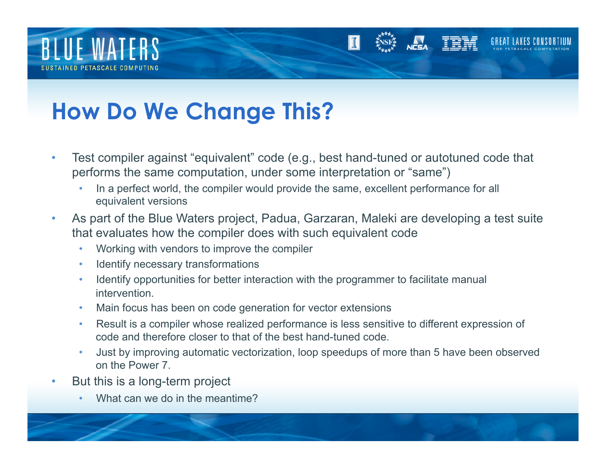

#### **How Do We Change This?**

- Test compiler against "equivalent" code (e.g., best hand-tuned or autotuned code that performs the same computation, under some interpretation or "same")
	- In a perfect world, the compiler would provide the same, excellent performance for all equivalent versions
- As part of the Blue Waters project, Padua, Garzaran, Maleki are developing a test suite that evaluates how the compiler does with such equivalent code
	- Working with vendors to improve the compiler
	- Identify necessary transformations
	- Identify opportunities for better interaction with the programmer to facilitate manual intervention.
	- Main focus has been on code generation for vector extensions
	- Result is a compiler whose realized performance is less sensitive to different expression of code and therefore closer to that of the best hand-tuned code.
	- Just by improving automatic vectorization, loop speedups of more than 5 have been observed on the Power 7.
- But this is a long-term project
	- What can we do in the meantime?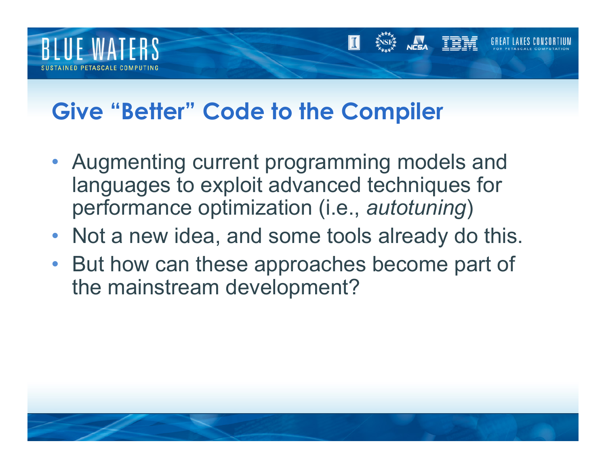

#### **Give "Better" Code to the Compiler**

- Augmenting current programming models and languages to exploit advanced techniques for performance optimization (i.e., *autotuning*)
- Not a new idea, and some tools already do this.
- But how can these approaches become part of the mainstream development?

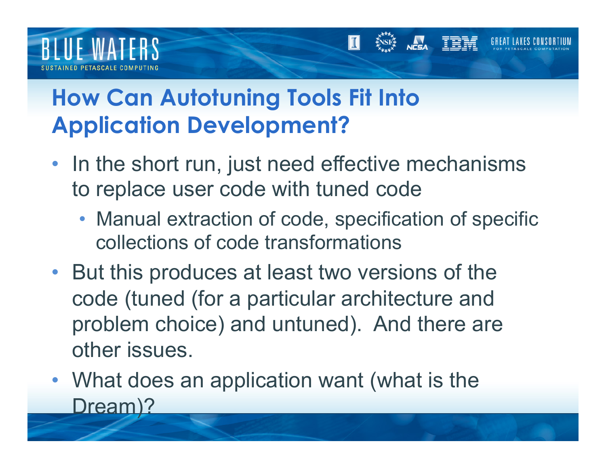

#### **How Can Autotuning Tools Fit Into Application Development?**

- In the short run, just need effective mechanisms to replace user code with tuned code
	- Manual extraction of code, specification of specific collections of code transformations
- But this produces at least two versions of the code (tuned (for a particular architecture and problem choice) and untuned). And there are other issues.
- What does an application want (what is the Dream)?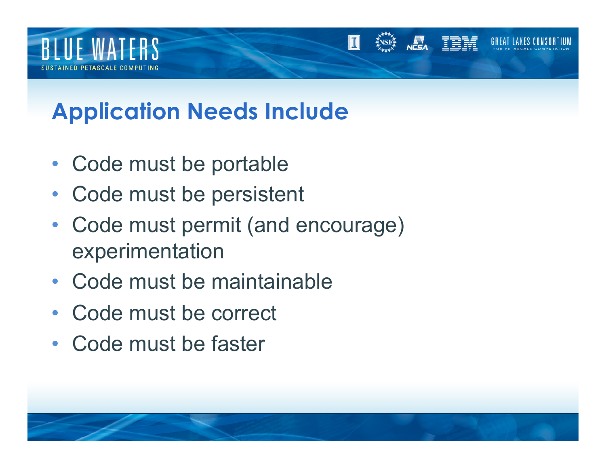

### **Application Needs Include**

- Code must be portable
- Code must be persistent
- Code must permit (and encourage) experimentation
- Code must be maintainable
- Code must be correct
- Code must be faster

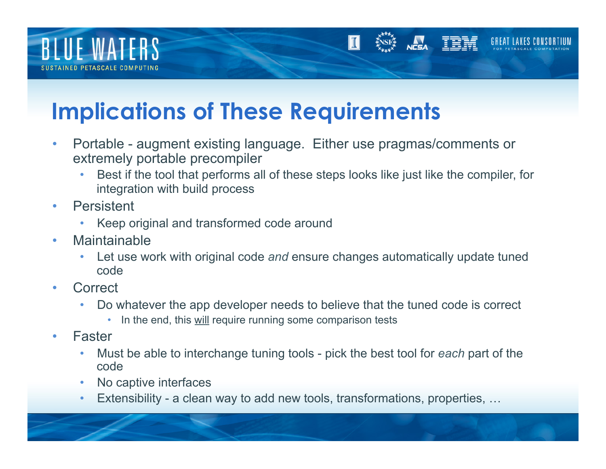

#### **Implications of These Requirements**

- Portable augment existing language. Either use pragmas/comments or extremely portable precompiler
	- Best if the tool that performs all of these steps looks like just like the compiler, for integration with build process
- Persistent
	- Keep original and transformed code around
- Maintainable
	- Let use work with original code *and* ensure changes automatically update tuned code
- Correct
	- Do whatever the app developer needs to believe that the tuned code is correct
		- In the end, this will require running some comparison tests
- Faster
	- Must be able to interchange tuning tools pick the best tool for *each* part of the code
	- No captive interfaces
	- Extensibility a clean way to add new tools, transformations, properties, …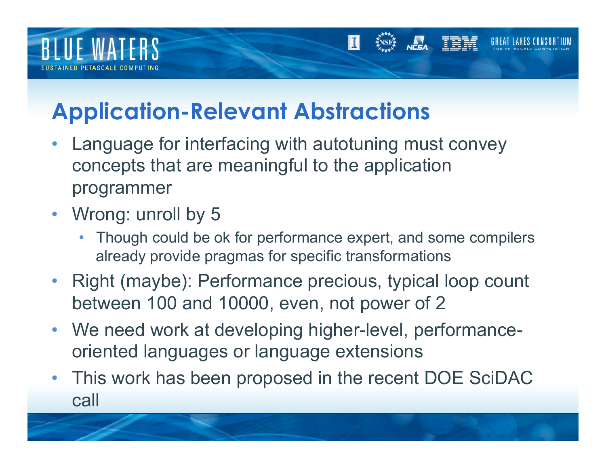

#### **Application-Relevant Abstractions**

- Language for interfacing with autotuning must convey concepts that are meaningful to the application programmer
- Wrong: unroll by 5
	- Though could be ok for performance expert, and some compilers already provide pragmas for specific transformations
- Right (maybe): Performance precious, typical loop count between 100 and 10000, even, not power of 2
- We need work at developing higher-level, performanceoriented languages or language extensions
- This work has been proposed in the recent DOE SciDAC call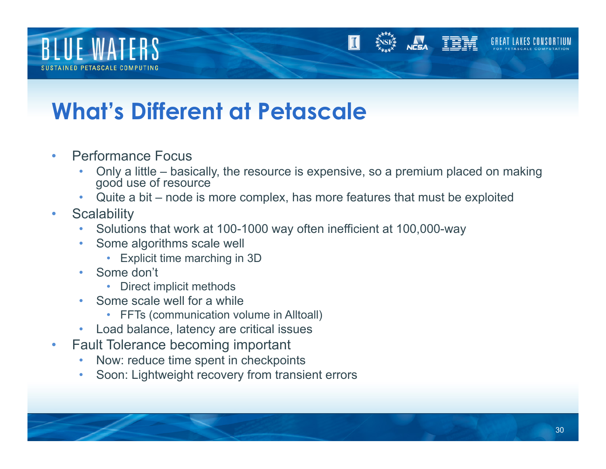

#### **What's Different at Petascale**

- Performance Focus
	- Only a little basically, the resource is expensive, so a premium placed on making good use of resource
	- Quite a bit node is more complex, has more features that must be exploited
- Scalability
	- Solutions that work at 100-1000 way often inefficient at 100,000-way
	- Some algorithms scale well
		- Explicit time marching in 3D
	- Some don't
		- Direct implicit methods
	- Some scale well for a while
		- FFTs (communication volume in Alltoall)
	- Load balance, latency are critical issues
- Fault Tolerance becoming important
	- Now: reduce time spent in checkpoints
	- Soon: Lightweight recovery from transient errors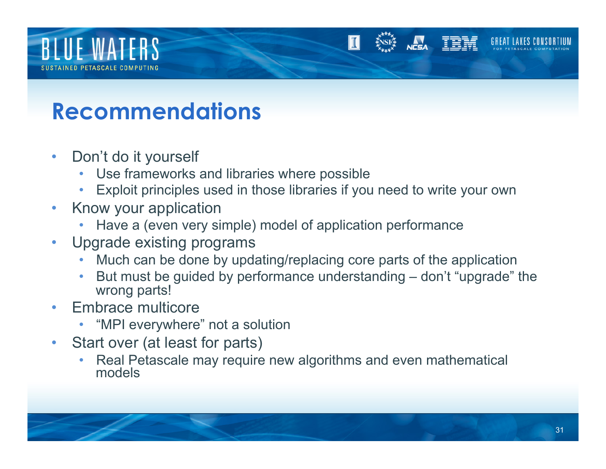

#### **Recommendations**

- Don't do it yourself
	- Use frameworks and libraries where possible
	- Exploit principles used in those libraries if you need to write your own
- Know your application
	- Have a (even very simple) model of application performance
- Upgrade existing programs
	- Much can be done by updating/replacing core parts of the application
	- But must be guided by performance understanding don't "upgrade" the wrong parts!
- Embrace multicore
	- "MPI everywhere" not a solution
- Start over (at least for parts)
	- Real Petascale may require new algorithms and even mathematical models